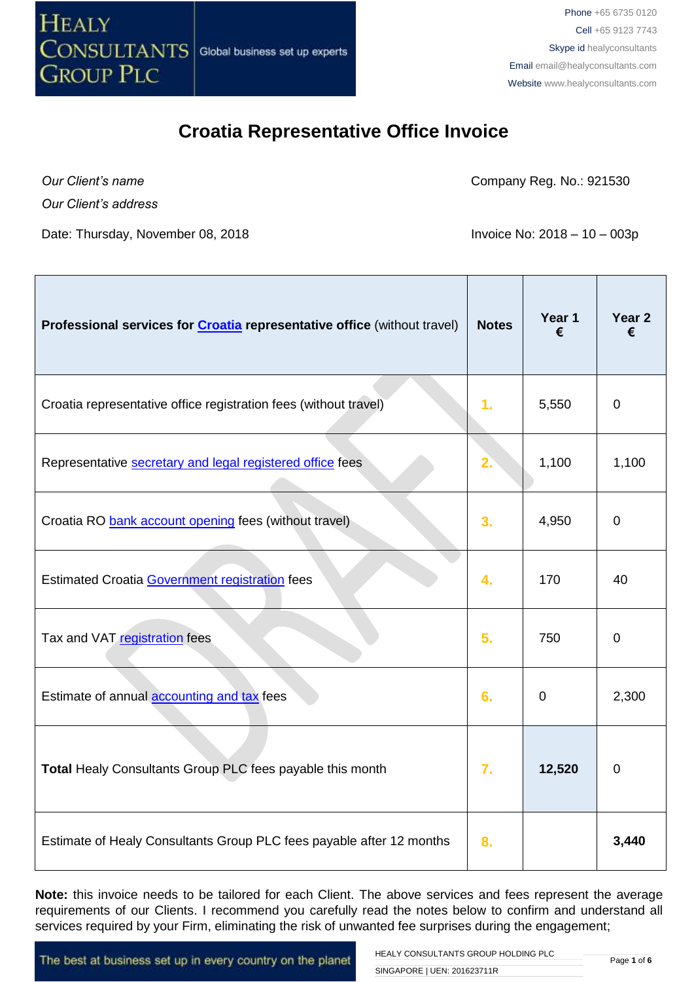

*Our Client's name*

Company Reg. No.: 921530

*Our Client's address*

Date: Thursday, November 08, 2018 **Invoice No: 2018** - 10 – 003p

| Professional services for <b>Croatia</b> representative office (without travel) | <b>Notes</b>   | Year 1<br>€ | Year <sub>2</sub><br>€ |
|---------------------------------------------------------------------------------|----------------|-------------|------------------------|
| Croatia representative office registration fees (without travel)                | 1 <sub>1</sub> | 5,550       | $\mathbf 0$            |
| Representative secretary and legal registered office fees                       | 2.             | 1,100       | 1,100                  |
| Croatia RO bank account opening fees (without travel)                           | 3.             | 4,950       | $\mathbf 0$            |
| <b>Estimated Croatia Government registration fees</b>                           | 4.             | 170         | 40                     |
| Tax and VAT registration fees                                                   | 5.             | 750         | $\mathbf 0$            |
| Estimate of annual accounting and tax fees                                      | 6.             | $\mathbf 0$ | 2,300                  |
| Total Healy Consultants Group PLC fees payable this month                       | 7.             | 12,520      | $\mathbf 0$            |
| Estimate of Healy Consultants Group PLC fees payable after 12 months            | 8.             |             | 3,440                  |

**Note:** this invoice needs to be tailored for each Client. The above services and fees represent the average requirements of our Clients. I recommend you carefully read the notes below to confirm and understand all services required by your Firm, eliminating the risk of unwanted fee surprises during the engagement;

The best at business set up in every country on the planet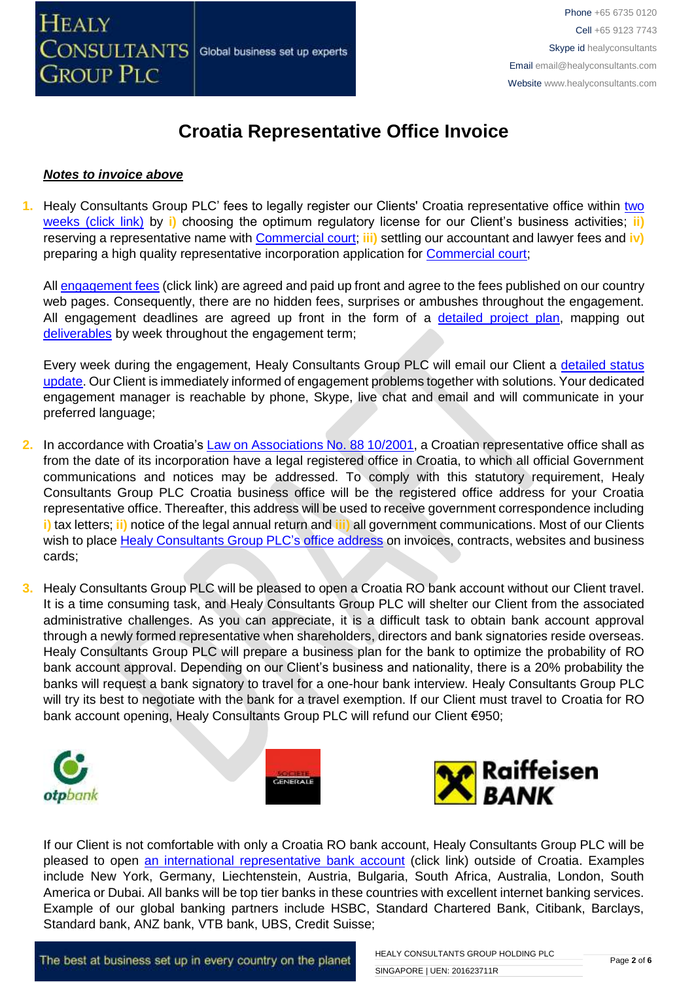#### *Notes to invoice above*

**1.** Healy Consultants Group PLC' fees to legally register our Clients' Croatia representative office within [two](http://www.healyconsultants.com/croatia-company-registration/fees-timelines/#timelines)  [weeks \(click link\)](http://www.healyconsultants.com/croatia-company-registration/fees-timelines/#timelines) by **i)** choosing the optimum regulatory license for our Client's business activities; **ii)** reserving a representative name with [Commercial court;](http://www.vsrh.hr/EasyWeb.asp?pcpid=282) **iii)** settling our accountant and lawyer fees and **iv)** preparing a high quality representative incorporation application for [Commercial court;](http://www.vsrh.hr/EasyWeb.asp?pcpid=282)

All [engagement fees](http://www.healyconsultants.com/company-registration-fees/) (click link) are agreed and paid up front and agree to the fees published on our country web pages. Consequently, there are no hidden fees, surprises or ambushes throughout the engagement. All engagement deadlines are agreed up front in the form of a [detailed project plan,](http://www.healyconsultants.com/index-important-links/example-project-plan/) mapping out [deliverables](http://www.healyconsultants.com/deliverables-to-our-clients/) by week throughout the engagement term;

Every week during the engagement, Healy Consultants Group PLC will email our Client a detailed status [update.](http://www.healyconsultants.com/index-important-links/weekly-engagement-status-email/) Our Client is immediately informed of engagement problems together with solutions. Your dedicated engagement manager is reachable by phone, Skype, live chat and email and will communicate in your preferred language;

- **2.** In accordance with Croatia's [Law on Associations No. 88 10/2001,](http://www.legislationline.org/documents/action/popup/id/5882) a Croatian representative office shall as from the date of its incorporation have a legal registered office in Croatia, to which all official Government communications and notices may be addressed. To comply with this statutory requirement, Healy Consultants Group PLC Croatia business office will be the registered office address for your Croatia representative office. Thereafter, this address will be used to receive government correspondence including **i)** tax letters; **ii)** notice of the legal annual return and **iii)** all government communications. Most of our Clients wish to place [Healy Consultants Group PLC's](http://www.healyconsultants.com/corporate-outsourcing-services/company-secretary-and-legal-registered-office/) office address on invoices, contracts, websites and business cards;
- **3.** Healy Consultants Group PLC will be pleased to open a Croatia RO bank account without our Client travel. It is a time consuming task, and Healy Consultants Group PLC will shelter our Client from the associated administrative challenges. As you can appreciate, it is a difficult task to obtain bank account approval through a newly formed representative when shareholders, directors and bank signatories reside overseas. Healy Consultants Group PLC will prepare a business plan for the bank to optimize the probability of RO bank account approval. Depending on our Client's business and nationality, there is a 20% probability the banks will request a bank signatory to travel for a one-hour bank interview. Healy Consultants Group PLC will try its best to negotiate with the bank for a travel exemption. If our Client must travel to Croatia for RO bank account opening, Healy Consultants Group PLC will refund our Client €950;



If our Client is not comfortable with only a Croatia RO bank account, Healy Consultants Group PLC will be pleased to open [an international representative](http://www.healyconsultants.com/international-banking/) bank account (click link) outside of Croatia. Examples include New York, Germany, Liechtenstein, Austria, Bulgaria, South Africa, Australia, London, South America or Dubai. All banks will be top tier banks in these countries with excellent internet banking services. Example of our global banking partners include HSBC, Standard Chartered Bank, Citibank, Barclays, Standard bank, ANZ bank, VTB bank, UBS, Credit Suisse;

The best at business set up in every country on the planet

HEALY CONSULTANTS GROUP HOLDING PLC SINGAPORE | UEN: 201623711R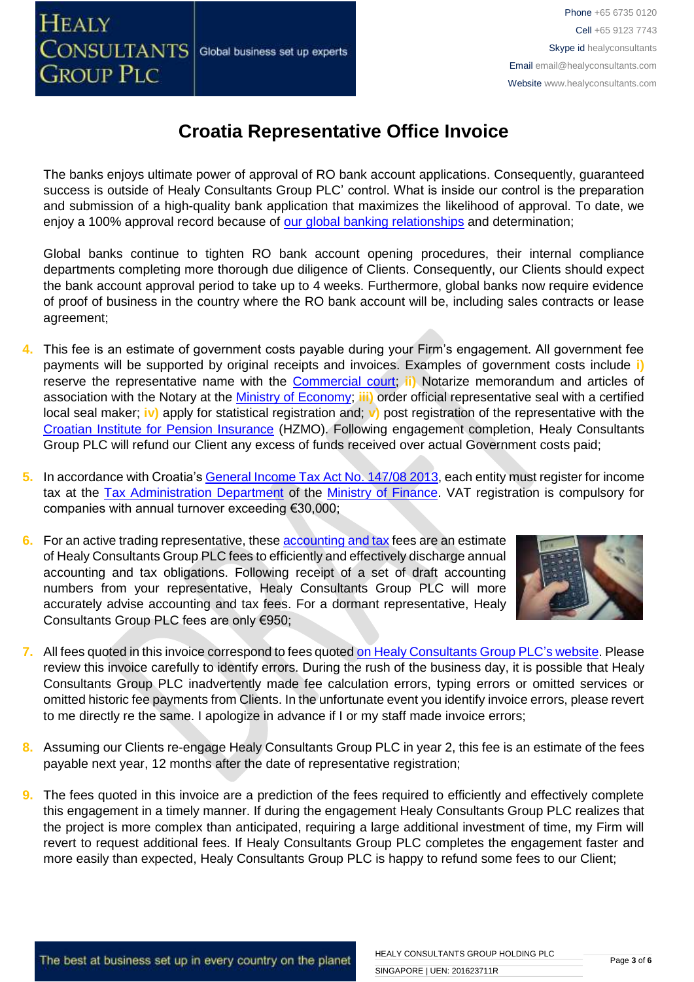**GROUP PLC** 

**HEALY** 

## **Croatia Representative Office Invoice**

The banks enjoys ultimate power of approval of RO bank account applications. Consequently, guaranteed success is outside of Healy Consultants Group PLC' control. What is inside our control is the preparation and submission of a high-quality bank application that maximizes the likelihood of approval. To date, we enjoy a 100% approval record because of [our global banking relationships](http://www.healyconsultants.com/international-banking/corporate-accounts/) and determination;

Global banks continue to tighten RO bank account opening procedures, their internal compliance departments completing more thorough due diligence of Clients. Consequently, our Clients should expect the bank account approval period to take up to 4 weeks. Furthermore, global banks now require evidence of proof of business in the country where the RO bank account will be, including sales contracts or lease agreement;

- **4.** This fee is an estimate of government costs payable during your Firm's engagement. All government fee payments will be supported by original receipts and invoices. Examples of government costs include **i)**  reserve the representative name with the [Commercial court;](http://www.vsrh.hr/EasyWeb.asp?pcpid=282) **ii)** Notarize memorandum and articles of association with the Notary at the [Ministry of Economy;](http://www.mingo.hr/en) **iii)** order official representative seal with a certified local seal maker; **iv)** apply for statistical registration and; **v)** post registration of the representative with the [Croatian Institute for Pension Insurance](http://www.mirovinsko.hr/) (HZMO). Following engagement completion, Healy Consultants Group PLC will refund our Client any excess of funds received over actual Government costs paid;
- **5.** In accordance with Croatia's [General Income Tax Act No. 147/08 2013,](http://www.porezna-uprava.hr/en_propisi/_layouts/in2.vuk.sp.propisi.intranet/propisi.aspx#id=pro117) each entity must register for income tax at the [Tax Administration Department](http://www.porezna-uprava.hr/Stranice/Naslovnica.aspx) of the [Ministry of Finance.](http://www.mfin.hr/en) VAT registration is compulsory for companies with annual turnover exceeding €30,000;
- **6.** For an active trading representative, these **accounting and tax** fees are an estimate of Healy Consultants Group PLC fees to efficiently and effectively discharge annual accounting and tax obligations. Following receipt of a set of draft accounting numbers from your representative, Healy Consultants Group PLC will more accurately advise accounting and tax fees. For a dormant representative, Healy Consultants Group PLC fees are only €950;



- **7.** All fees quoted in this invoice correspond to fees quoted [on Healy Consultants Group PLC's](http://www.healyconsultants.com/company-registration-fees/) website. Please review this invoice carefully to identify errors. During the rush of the business day, it is possible that Healy Consultants Group PLC inadvertently made fee calculation errors, typing errors or omitted services or omitted historic fee payments from Clients. In the unfortunate event you identify invoice errors, please revert to me directly re the same. I apologize in advance if I or my staff made invoice errors;
- **8.** Assuming our Clients re-engage Healy Consultants Group PLC in year 2, this fee is an estimate of the fees payable next year, 12 months after the date of representative registration;
- **9.** The fees quoted in this invoice are a prediction of the fees required to efficiently and effectively complete this engagement in a timely manner. If during the engagement Healy Consultants Group PLC realizes that the project is more complex than anticipated, requiring a large additional investment of time, my Firm will revert to request additional fees. If Healy Consultants Group PLC completes the engagement faster and more easily than expected, Healy Consultants Group PLC is happy to refund some fees to our Client;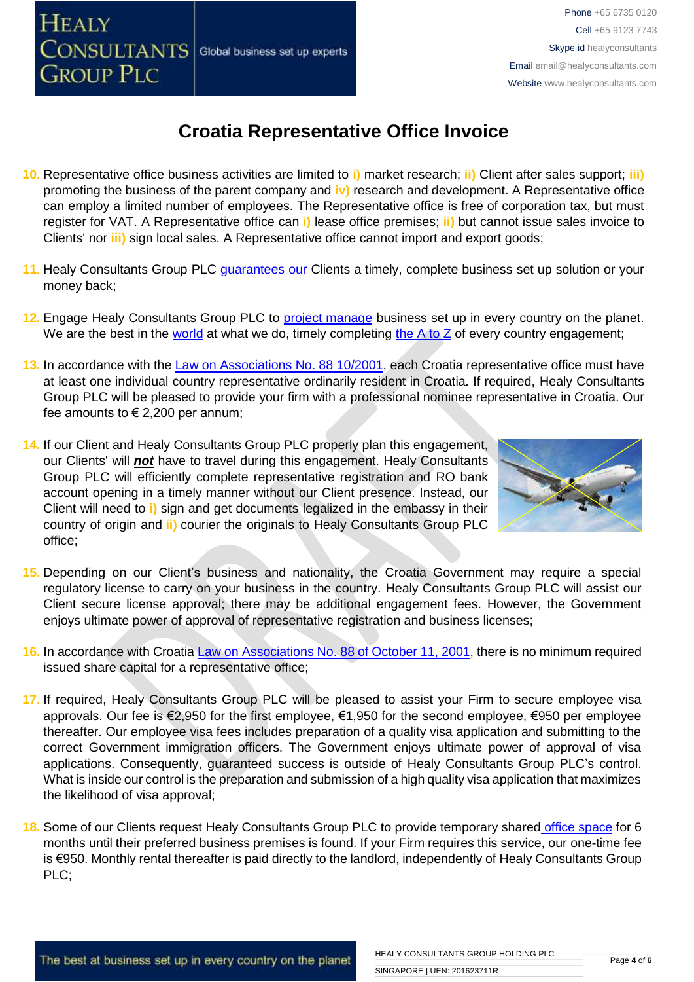### Phone +65 6735 0120 Cell +65 9123 7743 Skype id healyconsultants Email [email@healyconsultants.com](mailto:EMAIL@HEALYCONSULTANTS.COM) Website [www.healyconsultants.com](http://www.healyconsultants.com/)

# **Croatia Representative Office Invoice**

Global business set up experts

- **10.** Representative office business activities are limited to **i)** market research; **ii)** Client after sales support; **iii)** promoting the business of the parent company and **iv)** research and development. A Representative office can employ a limited number of employees. The Representative office is free of corporation tax, but must register for VAT. A Representative office can **i)** lease office premises; **ii)** but cannot issue sales invoice to Clients' nor **iii)** sign local sales. A Representative office cannot import and export goods;
- 11. Healy Consultants Group PLC [guarantees our](http://www.healyconsultants.com/why-us/) Clients a timely, complete business set up solution or your money back;
- **12.** Engage Healy Consultants Group PLC to [project manage](http://www.healyconsultants.com/project-manage-engagements/) business set up in every country on the planet. We are the best in the [world](http://www.healyconsultants.com/best-in-the-world/) at what we do, timely completing [the A to Z](http://www.healyconsultants.com/a-to-z-of-business-set-up/) of every country engagement;
- **13.** In accordance with the [Law on Associations No. 88 10/2001,](http://www.legislationline.org/documents/action/popup/id/5882) each Croatia representative office must have at least one individual country representative ordinarily resident in Croatia. If required, Healy Consultants Group PLC will be pleased to provide your firm with a professional nominee representative in Croatia. Our fee amounts to  $\epsilon$  2,200 per annum;
- **14.** If our Client and Healy Consultants Group PLC properly plan this engagement, our Clients' will *not* have to travel during this engagement. Healy Consultants Group PLC will efficiently complete representative registration and RO bank account opening in a timely manner without our Client presence. Instead, our Client will need to **i)** sign and get documents legalized in the embassy in their country of origin and **ii)** courier the originals to Healy Consultants Group PLC office;

**HEALY** 

CONSULTANTS

**GROUP PLC** 



- **15.** Depending on our Client's business and nationality, the Croatia Government may require a special regulatory license to carry on your business in the country. Healy Consultants Group PLC will assist our Client secure license approval; there may be additional engagement fees. However, the Government enjoys ultimate power of approval of representative registration and business licenses;
- **16.** In accordance with Croatia [Law on Associations No. 88 of October 11, 2001,](http://www.legislationline.org/documents/action/popup/id/5882) there is no minimum required issued share capital for a representative office;
- **17.** If required, Healy Consultants Group PLC will be pleased to assist your Firm to secure employee visa approvals. Our fee is €2,950 for the first employee, €1,950 for the second employee, €950 per employee thereafter. Our employee visa fees includes preparation of a quality visa application and submitting to the correct Government immigration officers. The Government enjoys ultimate power of approval of visa applications. Consequently, guaranteed success is outside of Healy Consultants Group PLC's control. What is inside our control is the preparation and submission of a high quality visa application that maximizes the likelihood of visa approval;
- **18.** Some of our Clients request Healy Consultants Group PLC to provide temporary shared [office space](http://www.healyconsultants.com/virtual-office/) for 6 months until their preferred business premises is found. If your Firm requires this service, our one-time fee is €950. Monthly rental thereafter is paid directly to the landlord, independently of Healy Consultants Group PLC;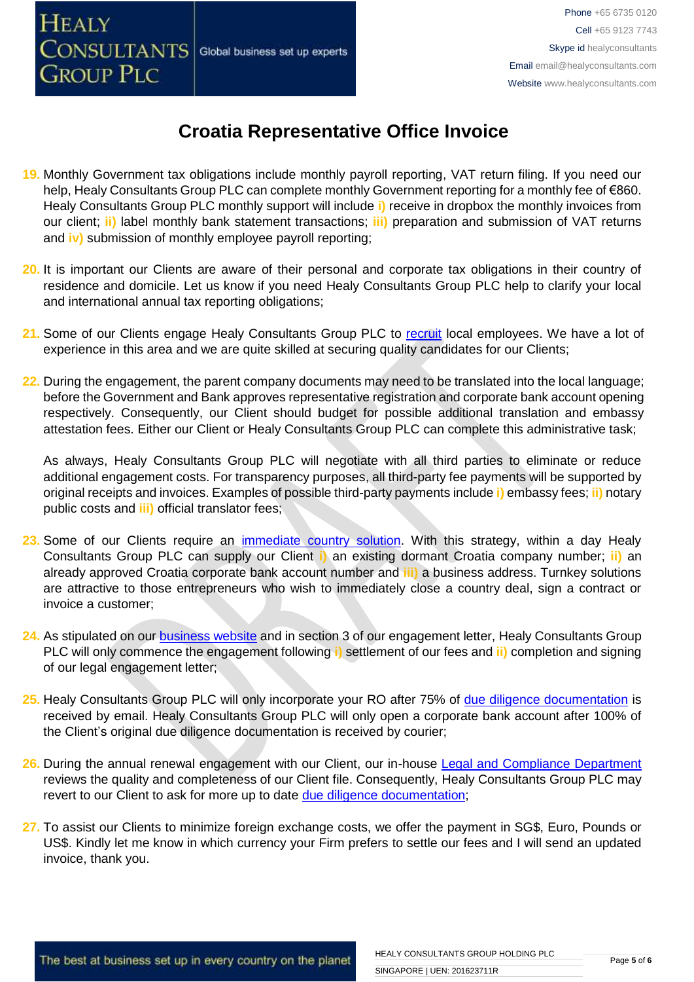

- **19.** Monthly Government tax obligations include monthly payroll reporting, VAT return filing. If you need our help, Healy Consultants Group PLC can complete monthly Government reporting for a monthly fee of €860. Healy Consultants Group PLC monthly support will include **i)** receive in dropbox the monthly invoices from our client; **ii)** label monthly bank statement transactions; **iii)** preparation and submission of VAT returns and **iv)** submission of monthly employee payroll reporting;
- **20.** It is important our Clients are aware of their personal and corporate tax obligations in their country of residence and domicile. Let us know if you need Healy Consultants Group PLC help to clarify your local and international annual tax reporting obligations;
- 21. Some of our Clients engage Healy Consultants Group PLC to [recruit](http://www.healyconsultants.com/corporate-outsourcing-services/how-we-help-our-clients-recruit-quality-employees/) local employees. We have a lot of experience in this area and we are quite skilled at securing quality candidates for our Clients;
- **22.** During the engagement, the parent company documents may need to be translated into the local language; before the Government and Bank approves representative registration and corporate bank account opening respectively. Consequently, our Client should budget for possible additional translation and embassy attestation fees. Either our Client or Healy Consultants Group PLC can complete this administrative task;

As always, Healy Consultants Group PLC will negotiate with all third parties to eliminate or reduce additional engagement costs. For transparency purposes, all third-party fee payments will be supported by original receipts and invoices. Examples of possible third-party payments include **i)** embassy fees; **ii)** notary public costs and **iii)** official translator fees;

- 23. Some of our Clients require an *immediate country solution*. With this strategy, within a day Healy Consultants Group PLC can supply our Client **i)** an existing dormant Croatia company number; **ii)** an already approved Croatia corporate bank account number and **iii)** a business address. Turnkey solutions are attractive to those entrepreneurs who wish to immediately close a country deal, sign a contract or invoice a customer;
- 24. As stipulated on our **business website** and in section 3 of our engagement letter, Healy Consultants Group PLC will only commence the engagement following **i)** settlement of our fees and **ii)** completion and signing of our legal engagement letter;
- **25.** Healy Consultants Group PLC will only incorporate your RO after 75% of [due diligence documentation](http://www.healyconsultants.com/due-diligence/) is received by email. Healy Consultants Group PLC will only open a corporate bank account after 100% of the Client's original due diligence documentation is received by courier;
- 26. During the annual renewal engagement with our Client, our in-house [Legal and Compliance Department](http://www.healyconsultants.com/about-us/key-personnel/cai-xin-profile/) reviews the quality and completeness of our Client file. Consequently, Healy Consultants Group PLC may revert to our Client to ask for more up to date [due diligence documentation;](http://www.healyconsultants.com/due-diligence/)
- **27.** To assist our Clients to minimize foreign exchange costs, we offer the payment in SG\$, Euro, Pounds or US\$. Kindly let me know in which currency your Firm prefers to settle our fees and I will send an updated invoice, thank you.